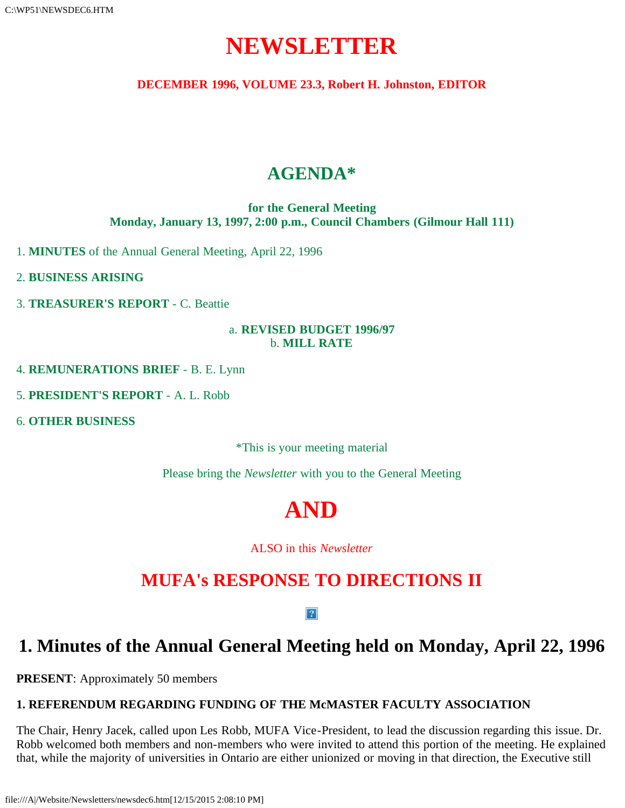# **NEWSLETTER**

**DECEMBER 1996, VOLUME 23.3, Robert H. Johnston, EDITOR**

# **AGENDA\***

**for the General Meeting Monday, January 13, 1997, 2:00 p.m., Council Chambers (Gilmour Hall 111)**

1. **MINUTES** of the Annual General Meeting, April 22, 1996

2. **BUSINESS ARISING**

3. **TREASURER'S REPORT** - C. Beattie

#### a. **REVISED BUDGET 1996/97** b. **MILL RATE**

4. **REMUNERATIONS BRIEF** - B. E. Lynn

5. **PRESIDENT'S REPORT** - A. L. Robb

6. **OTHER BUSINESS**

\*This is your meeting material

Please bring the *Newsletter* with you to the General Meeting

# **AND**

ALSO in this *Newsletter*

# **MUFA's RESPONSE TO DIRECTIONS II**

#### $\vert$  ?

# **1. Minutes of the Annual General Meeting held on Monday, April 22, 1996**

**PRESENT**: Approximately 50 members

### **1. REFERENDUM REGARDING FUNDING OF THE McMASTER FACULTY ASSOCIATION**

The Chair, Henry Jacek, called upon Les Robb, MUFA Vice-President, to lead the discussion regarding this issue. Dr. Robb welcomed both members and non-members who were invited to attend this portion of the meeting. He explained that, while the majority of universities in Ontario are either unionized or moving in that direction, the Executive still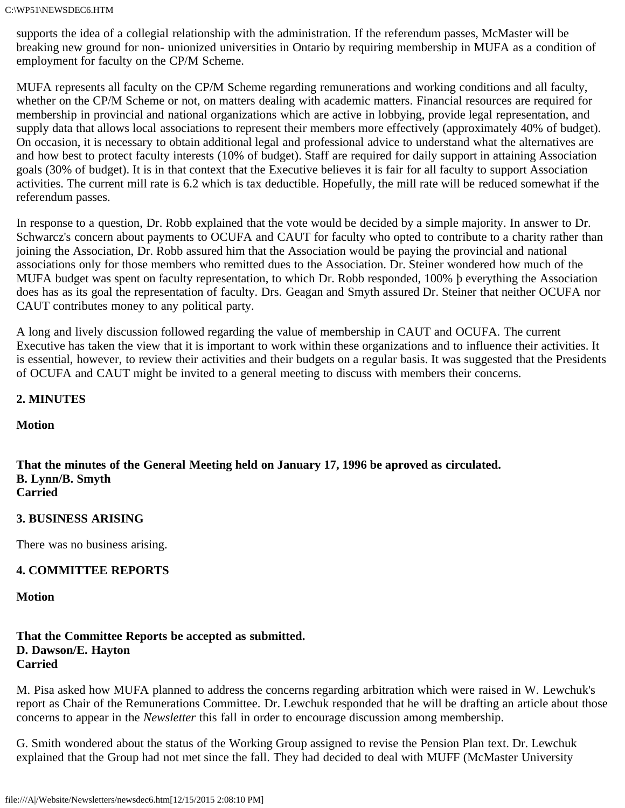supports the idea of a collegial relationship with the administration. If the referendum passes, McMaster will be breaking new ground for non- unionized universities in Ontario by requiring membership in MUFA as a condition of employment for faculty on the CP/M Scheme.

MUFA represents all faculty on the CP/M Scheme regarding remunerations and working conditions and all faculty, whether on the CP/M Scheme or not, on matters dealing with academic matters. Financial resources are required for membership in provincial and national organizations which are active in lobbying, provide legal representation, and supply data that allows local associations to represent their members more effectively (approximately 40% of budget). On occasion, it is necessary to obtain additional legal and professional advice to understand what the alternatives are and how best to protect faculty interests (10% of budget). Staff are required for daily support in attaining Association goals (30% of budget). It is in that context that the Executive believes it is fair for all faculty to support Association activities. The current mill rate is 6.2 which is tax deductible. Hopefully, the mill rate will be reduced somewhat if the referendum passes.

In response to a question, Dr. Robb explained that the vote would be decided by a simple majority. In answer to Dr. Schwarcz's concern about payments to OCUFA and CAUT for faculty who opted to contribute to a charity rather than joining the Association, Dr. Robb assured him that the Association would be paying the provincial and national associations only for those members who remitted dues to the Association. Dr. Steiner wondered how much of the MUFA budget was spent on faculty representation, to which Dr. Robb responded, 100% þ everything the Association does has as its goal the representation of faculty. Drs. Geagan and Smyth assured Dr. Steiner that neither OCUFA nor CAUT contributes money to any political party.

A long and lively discussion followed regarding the value of membership in CAUT and OCUFA. The current Executive has taken the view that it is important to work within these organizations and to influence their activities. It is essential, however, to review their activities and their budgets on a regular basis. It was suggested that the Presidents of OCUFA and CAUT might be invited to a general meeting to discuss with members their concerns.

#### **2. MINUTES**

**Motion**

**That the minutes of the General Meeting held on January 17, 1996 be aproved as circulated. B. Lynn/B. Smyth Carried**

#### **3. BUSINESS ARISING**

There was no business arising.

#### **4. COMMITTEE REPORTS**

**Motion**

#### **That the Committee Reports be accepted as submitted. D. Dawson/E. Hayton Carried**

M. Pisa asked how MUFA planned to address the concerns regarding arbitration which were raised in W. Lewchuk's report as Chair of the Remunerations Committee. Dr. Lewchuk responded that he will be drafting an article about those concerns to appear in the *Newsletter* this fall in order to encourage discussion among membership.

G. Smith wondered about the status of the Working Group assigned to revise the Pension Plan text. Dr. Lewchuk explained that the Group had not met since the fall. They had decided to deal with MUFF (McMaster University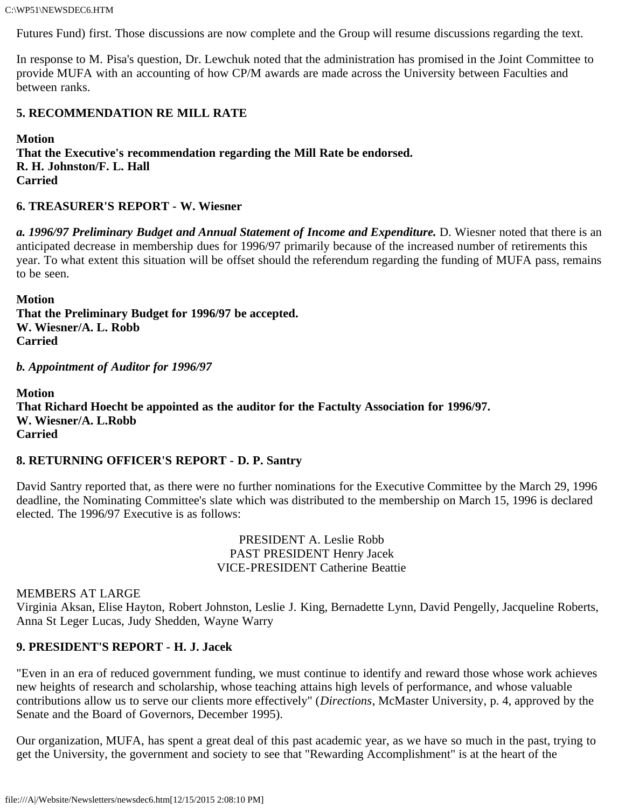C:\WP51\NEWSDEC6.HTM

Futures Fund) first. Those discussions are now complete and the Group will resume discussions regarding the text.

In response to M. Pisa's question, Dr. Lewchuk noted that the administration has promised in the Joint Committee to provide MUFA with an accounting of how CP/M awards are made across the University between Faculties and between ranks.

#### **5. RECOMMENDATION RE MILL RATE**

**Motion That the Executive's recommendation regarding the Mill Rate be endorsed. R. H. Johnston/F. L. Hall Carried**

#### **6. TREASURER'S REPORT - W. Wiesner**

*a. 1996/97 Preliminary Budget and Annual Statement of Income and Expenditure.* D. Wiesner noted that there is an anticipated decrease in membership dues for 1996/97 primarily because of the increased number of retirements this year. To what extent this situation will be offset should the referendum regarding the funding of MUFA pass, remains to be seen.

**Motion That the Preliminary Budget for 1996/97 be accepted. W. Wiesner/A. L. Robb Carried**

*b. Appointment of Auditor for 1996/97*

**Motion That Richard Hoecht be appointed as the auditor for the Factulty Association for 1996/97. W. Wiesner/A. L.Robb Carried**

#### **8. RETURNING OFFICER'S REPORT - D. P. Santry**

David Santry reported that, as there were no further nominations for the Executive Committee by the March 29, 1996 deadline, the Nominating Committee's slate which was distributed to the membership on March 15, 1996 is declared elected. The 1996/97 Executive is as follows:

> PRESIDENT A. Leslie Robb PAST PRESIDENT Henry Jacek VICE-PRESIDENT Catherine Beattie

#### MEMBERS AT LARGE

Virginia Aksan, Elise Hayton, Robert Johnston, Leslie J. King, Bernadette Lynn, David Pengelly, Jacqueline Roberts, Anna St Leger Lucas, Judy Shedden, Wayne Warry

#### **9. PRESIDENT'S REPORT - H. J. Jacek**

"Even in an era of reduced government funding, we must continue to identify and reward those whose work achieves new heights of research and scholarship, whose teaching attains high levels of performance, and whose valuable contributions allow us to serve our clients more effectively" (*Directions*, McMaster University, p. 4, approved by the Senate and the Board of Governors, December 1995).

Our organization, MUFA, has spent a great deal of this past academic year, as we have so much in the past, trying to get the University, the government and society to see that "Rewarding Accomplishment" is at the heart of the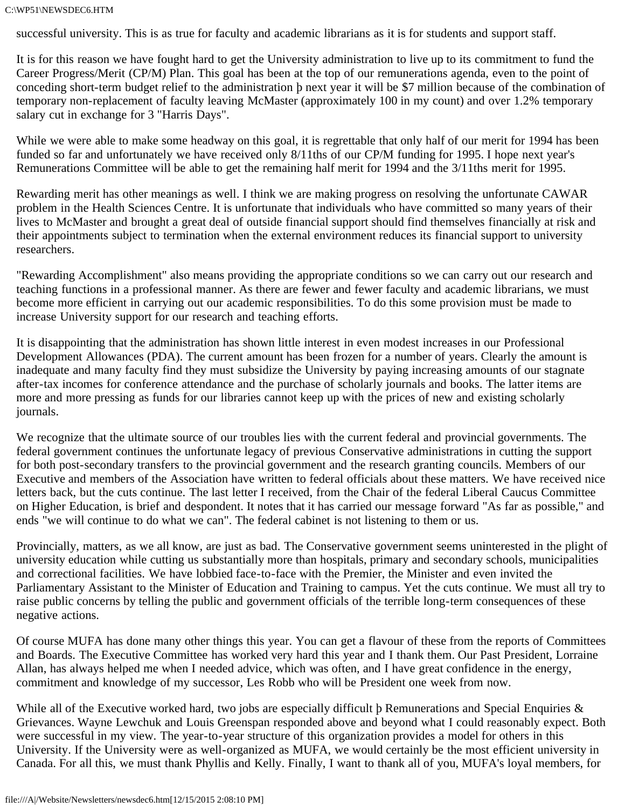successful university. This is as true for faculty and academic librarians as it is for students and support staff.

It is for this reason we have fought hard to get the University administration to live up to its commitment to fund the Career Progress/Merit (CP/M) Plan. This goal has been at the top of our remunerations agenda, even to the point of conceding short-term budget relief to the administration þ next year it will be \$7 million because of the combination of temporary non-replacement of faculty leaving McMaster (approximately 100 in my count) and over 1.2% temporary salary cut in exchange for 3 "Harris Days".

While we were able to make some headway on this goal, it is regrettable that only half of our merit for 1994 has been funded so far and unfortunately we have received only 8/11ths of our CP/M funding for 1995. I hope next year's Remunerations Committee will be able to get the remaining half merit for 1994 and the 3/11ths merit for 1995.

Rewarding merit has other meanings as well. I think we are making progress on resolving the unfortunate CAWAR problem in the Health Sciences Centre. It is unfortunate that individuals who have committed so many years of their lives to McMaster and brought a great deal of outside financial support should find themselves financially at risk and their appointments subject to termination when the external environment reduces its financial support to university researchers.

"Rewarding Accomplishment" also means providing the appropriate conditions so we can carry out our research and teaching functions in a professional manner. As there are fewer and fewer faculty and academic librarians, we must become more efficient in carrying out our academic responsibilities. To do this some provision must be made to increase University support for our research and teaching efforts.

It is disappointing that the administration has shown little interest in even modest increases in our Professional Development Allowances (PDA). The current amount has been frozen for a number of years. Clearly the amount is inadequate and many faculty find they must subsidize the University by paying increasing amounts of our stagnate after-tax incomes for conference attendance and the purchase of scholarly journals and books. The latter items are more and more pressing as funds for our libraries cannot keep up with the prices of new and existing scholarly journals.

We recognize that the ultimate source of our troubles lies with the current federal and provincial governments. The federal government continues the unfortunate legacy of previous Conservative administrations in cutting the support for both post-secondary transfers to the provincial government and the research granting councils. Members of our Executive and members of the Association have written to federal officials about these matters. We have received nice letters back, but the cuts continue. The last letter I received, from the Chair of the federal Liberal Caucus Committee on Higher Education, is brief and despondent. It notes that it has carried our message forward "As far as possible," and ends "we will continue to do what we can". The federal cabinet is not listening to them or us.

Provincially, matters, as we all know, are just as bad. The Conservative government seems uninterested in the plight of university education while cutting us substantially more than hospitals, primary and secondary schools, municipalities and correctional facilities. We have lobbied face-to-face with the Premier, the Minister and even invited the Parliamentary Assistant to the Minister of Education and Training to campus. Yet the cuts continue. We must all try to raise public concerns by telling the public and government officials of the terrible long-term consequences of these negative actions.

Of course MUFA has done many other things this year. You can get a flavour of these from the reports of Committees and Boards. The Executive Committee has worked very hard this year and I thank them. Our Past President, Lorraine Allan, has always helped me when I needed advice, which was often, and I have great confidence in the energy, commitment and knowledge of my successor, Les Robb who will be President one week from now.

While all of the Executive worked hard, two jobs are especially difficult  $\beta$  Remunerations and Special Enquiries  $\&$ Grievances. Wayne Lewchuk and Louis Greenspan responded above and beyond what I could reasonably expect. Both were successful in my view. The year-to-year structure of this organization provides a model for others in this University. If the University were as well-organized as MUFA, we would certainly be the most efficient university in Canada. For all this, we must thank Phyllis and Kelly. Finally, I want to thank all of you, MUFA's loyal members, for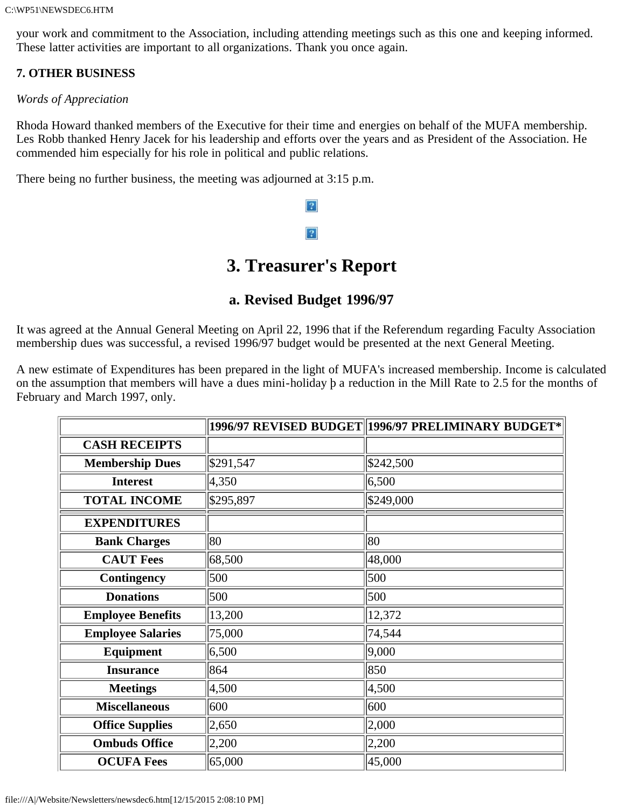your work and commitment to the Association, including attending meetings such as this one and keeping informed. These latter activities are important to all organizations. Thank you once again.

#### **7. OTHER BUSINESS**

*Words of Appreciation*

Rhoda Howard thanked members of the Executive for their time and energies on behalf of the MUFA membership. Les Robb thanked Henry Jacek for his leadership and efforts over the years and as President of the Association. He commended him especially for his role in political and public relations.

There being no further business, the meeting was adjourned at 3:15 p.m.

# $|2|$  $|2|$

# **3. Treasurer's Report**

### **a. Revised Budget 1996/97**

It was agreed at the Annual General Meeting on April 22, 1996 that if the Referendum regarding Faculty Association membership dues was successful, a revised 1996/97 budget would be presented at the next General Meeting.

A new estimate of Expenditures has been prepared in the light of MUFA's increased membership. Income is calculated on the assumption that members will have a dues mini-holiday þ a reduction in the Mill Rate to 2.5 for the months of February and March 1997, only.

|                          |           | $ 1996\!/97$ REVISED BUDGET $\ 1996\!/97$ PRELIMINARY BUDGET* $ $ |
|--------------------------|-----------|-------------------------------------------------------------------|
| <b>CASH RECEIPTS</b>     |           |                                                                   |
| <b>Membership Dues</b>   | \$291,547 | \$242,500                                                         |
| <b>Interest</b>          | 4,350     | 6,500                                                             |
| <b>TOTAL INCOME</b>      | \$295,897 | \$249,000                                                         |
| <b>EXPENDITURES</b>      |           |                                                                   |
| <b>Bank Charges</b>      | 80        | 80                                                                |
| <b>CAUT Fees</b>         | 68,500    | 48,000                                                            |
| Contingency              | 500       | 500                                                               |
| <b>Donations</b>         | 500       | 500                                                               |
| <b>Employee Benefits</b> | 13,200    | 12,372                                                            |
| <b>Employee Salaries</b> | 75,000    | 74,544                                                            |
| <b>Equipment</b>         | 6,500     | 9,000                                                             |
| <b>Insurance</b>         | 864       | 850                                                               |
| <b>Meetings</b>          | 4,500     | 4,500                                                             |
| <b>Miscellaneous</b>     | 600       | 600                                                               |
| <b>Office Supplies</b>   | 2,650     | 2,000                                                             |
| <b>Ombuds Office</b>     | 2,200     | 2,200                                                             |
| <b>OCUFA Fees</b>        | 65,000    | 45,000                                                            |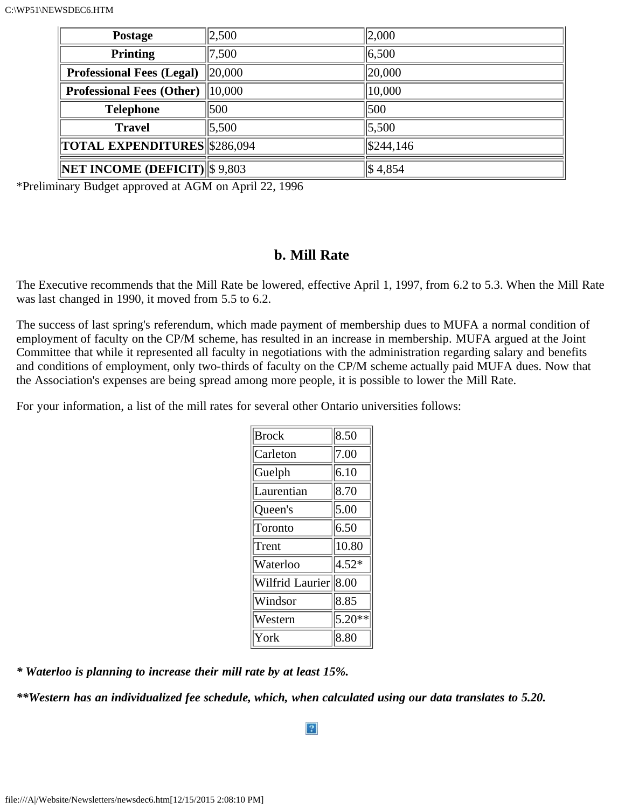| <b>Postage</b>                             | 2,500        | 2,000               |
|--------------------------------------------|--------------|---------------------|
| <b>Printing</b>                            | 7,500        | 6,500               |
| <b>Professional Fees (Legal)</b>           | $\ 20,000\ $ | 20,000              |
| Professional Fees (Other)   10,000         |              | 10,000              |
| <b>Telephone</b>                           | 500          | 500                 |
| <b>Travel</b>                              | 5,500        | 5,500               |
| TOTAL EXPENDITURES \$286,094               |              | \$244,146           |
| $\ NET \text{ INCOME}$ (DEFICIT) \\$ 9,803 |              | $\frac{1}{3}$ 4,854 |

\*Preliminary Budget approved at AGM on April 22, 1996

#### **b. Mill Rate**

The Executive recommends that the Mill Rate be lowered, effective April 1, 1997, from 6.2 to 5.3. When the Mill Rate was last changed in 1990, it moved from 5.5 to 6.2.

The success of last spring's referendum, which made payment of membership dues to MUFA a normal condition of employment of faculty on the CP/M scheme, has resulted in an increase in membership. MUFA argued at the Joint Committee that while it represented all faculty in negotiations with the administration regarding salary and benefits and conditions of employment, only two-thirds of faculty on the CP/M scheme actually paid MUFA dues. Now that the Association's expenses are being spread among more people, it is possible to lower the Mill Rate.

For your information, a list of the mill rates for several other Ontario universities follows:

| <b>Brock</b>          | 8.50               |
|-----------------------|--------------------|
| Carleton              | 7.00               |
| Guelph                | 6.10               |
| Laurentian            | $\vert 8.70 \vert$ |
| Queen's               | 5.00               |
| Toronto               | 6.50               |
| Trent                 | 10.80              |
| Waterloo              | $4.52*$            |
| Wilfrid Laurier  8.00 |                    |
| Windsor               | 8.85               |
| Western               | $5.20**$           |
| York                  | 8.80               |

*\* Waterloo is planning to increase their mill rate by at least 15%.*

*\*\*Western has an individualized fee schedule, which, when calculated using our data translates to 5.20.*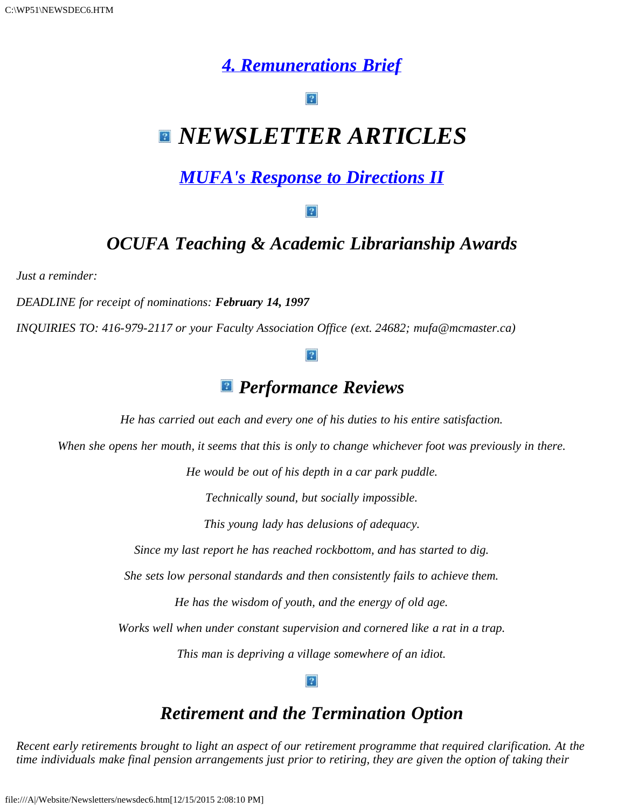# *[4. Remunerations Brief](file:///A|/Website/Newsletters/brief.htm)*

# *NEWSLETTER ARTICLES*

# *[MUFA's Response to Directions II](file:///A|/Website/Newsletters/directio.htm)*

#### $|2|$

## *OCUFA Teaching & Academic Librarianship Awards*

*Just a reminder:*

*DEADLINE for receipt of nominations: February 14, 1997*

*INQUIRIES TO: 416-979-2117 or your Faculty Association Office (ext. 24682; mufa@mcmaster.ca)*

#### $|2|$

### *Performance Reviews*

*He has carried out each and every one of his duties to his entire satisfaction.*

*When she opens her mouth, it seems that this is only to change whichever foot was previously in there.*

*He would be out of his depth in a car park puddle.*

*Technically sound, but socially impossible.*

*This young lady has delusions of adequacy.*

*Since my last report he has reached rockbottom, and has started to dig.*

*She sets low personal standards and then consistently fails to achieve them.*

*He has the wisdom of youth, and the energy of old age.*

*Works well when under constant supervision and cornered like a rat in a trap.*

*This man is depriving a village somewhere of an idiot.*

## *Retirement and the Termination Option*

*Recent early retirements brought to light an aspect of our retirement programme that required clarification. At the time individuals make final pension arrangements just prior to retiring, they are given the option of taking their*